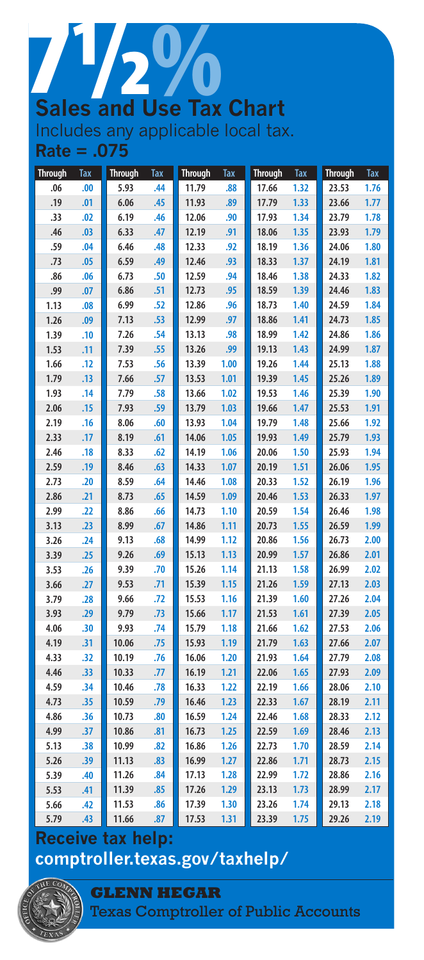## **Sales and Use Tax Chart** 50 Includes any applicable local tax.

**Rate = .075**

| <b>Through</b> | <b>Tax</b> | <b>Through</b> | <b>Tax</b> | <b>Through</b> | <b>Tax</b> | <b>Through</b> | <b>Tax</b> | <b>Through</b> | <b>Tax</b> |
|----------------|------------|----------------|------------|----------------|------------|----------------|------------|----------------|------------|
| .06            | .00        | 5.93           | .44        | 11.79          | .88        | 17.66          | 1.32       | 23.53          | 1.76       |
| .19            | .01        | 6.06           | .45        | 11.93          | .89        | 17.79          | 1.33       | 23.66          | 1.77       |
| .33            | .02        | 6.19           | .46        | 12.06          | .90        | 17.93          | 1.34       | 23.79          | 1.78       |
| .46            | .03        | 6.33           | .47        | 12.19          | .91        | 18.06          | 1.35       | 23.93          | 1.79       |
| .59            | .04        | 6.46           | .48        | 12.33          | .92        | 18.19          | 1.36       | 24.06          | 1.80       |
| .73            | .05        | 6.59           | .49        | 12.46          | .93        | 18.33          | 1.37       | 24.19          | 1.81       |
| .86            | .06        | 6.73           | .50        | 12.59          | .94        | 18.46          | 1.38       | 24.33          | 1.82       |
| .99            | .07        | 6.86           | .51        | 12.73          | .95        | 18.59          | 1.39       | 24.46          | 1.83       |
| 1.13           | .08        | 6.99           | .52        | 12.86          | .96        | 18.73          | 1.40       | 24.59          | 1.84       |
| 1.26           | .09        | 7.13           | .53        | 12.99          | .97        | 18.86          | 1.41       | 24.73          | 1.85       |
| 1.39           | .10        | 7.26           | .54        | 13.13          | .98        | 18.99          | 1.42       | 24.86          | 1.86       |
| 1.53           | .11        | 7.39           | .55        | 13.26          | .99        | 19.13          | 1.43       | 24.99          | 1.87       |
| 1.66           | .12        | 7.53           | .56        | 13.39          | 1.00       | 19.26          | 1.44       | 25.13          | 1.88       |
| 1.79           | .13        | 7.66           | .57        | 13.53          | 1.01       | 19.39          | 1.45       | 25.26          | 1.89       |
| 1.93           | .14        | 7.79           | .58        | 13.66          | 1.02       | 19.53          | 1.46       | 25.39          | 1.90       |
| 2.06           | .15        | 7.93           | .59        | 13.79          | 1.03       | 19.66          | 1.47       | 25.53          | 1.91       |
| 2.19           | .16        | 8.06           | .60        | 13.93          | 1.04       | 19.79          | 1.48       | 25.66          | 1.92       |
| 2.33           | .17        | 8.19           | .61        | 14.06          | 1.05       | 19.93          | 1.49       | 25.79          | 1.93       |
| 2.46           | .18        | 8.33           | .62        | 14.19          | 1.06       | 20.06          | 1.50       | 25.93          | 1.94       |
| 2.59           | .19        | 8.46           | .63        | 14.33          | 1.07       | 20.19          | 1.51       | 26.06          | 1.95       |
| 2.73           | .20        | 8.59           | .64        | 14.46          | 1.08       | 20.33          | 1.52       | 26.19          | 1.96       |
| 2.86           | .21        | 8.73           | .65        | 14.59          | 1.09       | 20.46          | 1.53       | 26.33          | 1.97       |
| 2.99           | .22        | 8.86           | .66        | 14.73          | 1.10       | 20.59          | 1.54       | 26.46          | 1.98       |
| 3.13           | .23        | 8.99           | .67        | 14.86          | 1.11       | 20.73          | 1.55       | 26.59          | 1.99       |
| 3.26           | .24        | 9.13           | .68        | 14.99          | 1.12       | 20.86          | 1.56       | 26.73          | 2.00       |
| 3.39           | .25        | 9.26           | .69        | 15.13          | 1.13       | 20.99          | 1.57       | 26.86          | 2.01       |
| 3.53           | .26        | 9.39           | .70        | 15.26          | 1.14       | 21.13          | 1.58       | 26.99          | 2.02       |
| 3.66           | .27        | 9.53           | .71        | 15.39          | 1.15       | 21.26          | 1.59       | 27.13          | 2.03       |
| 3.79           | .28        | 9.66           | .72        | 15.53          | 1.16       | 21.39          | 1.60       | 27.26          | 2.04       |
| 3.93           | .29        | 9.79           | .73        | 15.66          | 1.17       | 21.53          | 1.61       | 27.39          | 2.05       |
| 4.06           | .30        | 9.93           | .74        | 15.79          | 1.18       | 21.66          | 1.62       | 27.53          | 2.06       |
| 4.19           | .31        | 10.06          | .75        | 15.93          | 1.19       | 21.79          | 1.63       | 27.66          | 2.07       |
| 4.33           | .32        | 10.19          | .76        | 16.06          | 1.20       | 21.93          | 1.64       | 27.79          | 2.08       |
| 4.46           | .33        | 10.33          | .77        | 16.19          | 1.21       | 22.06          | 1.65       | 27.93          | 2.09       |
| 4.59           | .34        | 10.46          | .78        | 16.33          | 1.22       | 22.19          | 1.66       | 28.06          | 2.10       |
| 4.73           | .35        | 10.59          | .79        | 16.46          | 1.23       | 22.33          | 1.67       | 28.19          | 2.11       |
| 4.86           | .36        | 10.73          | .80        | 16.59          | 1.24       | 22.46          | 1.68       | 28.33          | 2.12       |
| 4.99           | .37        | 10.86          | .81        | 16.73          | 1.25       | 22.59          | 1.69       | 28.46          | 2.13       |
| 5.13           | .38        | 10.99          | .82        | 16.86          | 1.26       | 22.73          | 1.70       | 28.59          | 2.14       |
| 5.26           | .39        | 11.13          | .83        | 16.99          | 1.27       | 22.86          | 1.71       | 28.73          | 2.15       |
| 5.39           | .40        | 11.26          | .84        | 17.13          | 1.28       | 22.99          | 1.72       | 28.86          | 2.16       |
| 5.53           | .41        | 11.39          | .85        | 17.26          | 1.29       | 23.13          | 1.73       | 28.99          | 2.17       |
| 5.66           | .42        | 11.53          | .86        | 17.39          | 1.30       | 23.26          | 1.74       | 29.13          | 2.18       |
| 5.79           | .43        | 11.66          | .87        | 17.53          | 1.31       | 23.39          | 1.75       | 29.26          | 2.19       |

**Receive tax help: [comptroller.texas.gov/taxhelp/](http://www.comptroller.texas.gov/taxhelp/)**



**GLENN HEGAR** 

Texas Comptroller of Public Accounts